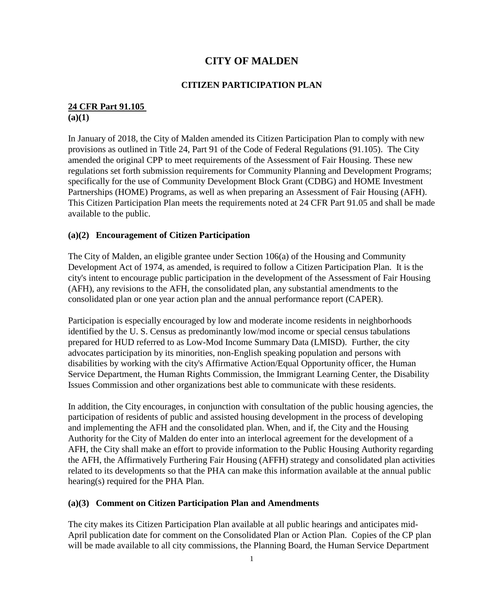# **CITY OF MALDEN**

## **CITIZEN PARTICIPATION PLAN**

# **24 CFR Part 91.105**

**(a)(1)**

In January of 2018, the City of Malden amended its Citizen Participation Plan to comply with new provisions as outlined in Title 24, Part 91 of the Code of Federal Regulations (91.105). The City amended the original CPP to meet requirements of the Assessment of Fair Housing. These new regulations set forth submission requirements for Community Planning and Development Programs; specifically for the use of Community Development Block Grant (CDBG) and HOME Investment Partnerships (HOME) Programs, as well as when preparing an Assessment of Fair Housing (AFH). This Citizen Participation Plan meets the requirements noted at 24 CFR Part 91.05 and shall be made available to the public.

#### **(a)(2) Encouragement of Citizen Participation**

The City of Malden, an eligible grantee under Section 106(a) of the Housing and Community Development Act of 1974, as amended, is required to follow a Citizen Participation Plan. It is the city's intent to encourage public participation in the development of the Assessment of Fair Housing (AFH), any revisions to the AFH, the consolidated plan, any substantial amendments to the consolidated plan or one year action plan and the annual performance report (CAPER).

Participation is especially encouraged by low and moderate income residents in neighborhoods identified by the U. S. Census as predominantly low/mod income or special census tabulations prepared for HUD referred to as Low-Mod Income Summary Data (LMISD). Further, the city advocates participation by its minorities, non-English speaking population and persons with disabilities by working with the city's Affirmative Action/Equal Opportunity officer, the Human Service Department, the Human Rights Commission, the Immigrant Learning Center, the Disability Issues Commission and other organizations best able to communicate with these residents.

In addition, the City encourages, in conjunction with consultation of the public housing agencies, the participation of residents of public and assisted housing development in the process of developing and implementing the AFH and the consolidated plan. When, and if, the City and the Housing Authority for the City of Malden do enter into an interlocal agreement for the development of a AFH, the City shall make an effort to provide information to the Public Housing Authority regarding the AFH, the Affirmatively Furthering Fair Housing (AFFH) strategy and consolidated plan activities related to its developments so that the PHA can make this information available at the annual public hearing(s) required for the PHA Plan.

#### **(a)(3) Comment on Citizen Participation Plan and Amendments**

The city makes its Citizen Participation Plan available at all public hearings and anticipates mid-April publication date for comment on the Consolidated Plan or Action Plan. Copies of the CP plan will be made available to all city commissions, the Planning Board, the Human Service Department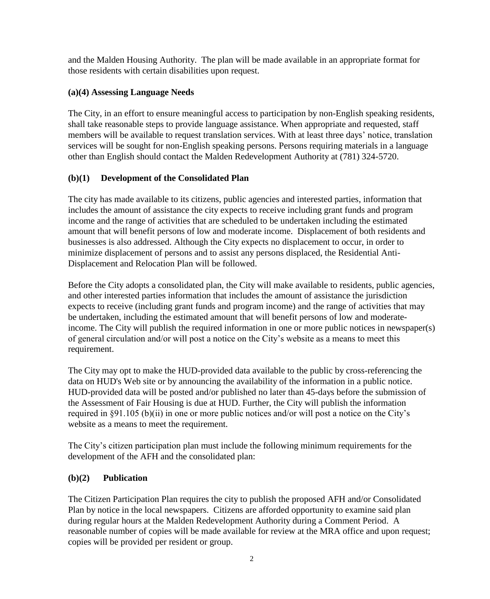and the Malden Housing Authority. The plan will be made available in an appropriate format for those residents with certain disabilities upon request.

## **(a)(4) Assessing Language Needs**

The City, in an effort to ensure meaningful access to participation by non-English speaking residents, shall take reasonable steps to provide language assistance. When appropriate and requested, staff members will be available to request translation services. With at least three days' notice, translation services will be sought for non-English speaking persons. Persons requiring materials in a language other than English should contact the Malden Redevelopment Authority at (781) 324-5720.

## **(b)(1) Development of the Consolidated Plan**

The city has made available to its citizens, public agencies and interested parties, information that includes the amount of assistance the city expects to receive including grant funds and program income and the range of activities that are scheduled to be undertaken including the estimated amount that will benefit persons of low and moderate income. Displacement of both residents and businesses is also addressed. Although the City expects no displacement to occur, in order to minimize displacement of persons and to assist any persons displaced, the Residential Anti-Displacement and Relocation Plan will be followed.

Before the City adopts a consolidated plan, the City will make available to residents, public agencies, and other interested parties information that includes the amount of assistance the jurisdiction expects to receive (including grant funds and program income) and the range of activities that may be undertaken, including the estimated amount that will benefit persons of low and moderateincome. The City will publish the required information in one or more public notices in newspaper(s) of general circulation and/or will post a notice on the City's website as a means to meet this requirement.

The City may opt to make the HUD-provided data available to the public by cross-referencing the data on HUD's Web site or by announcing the availability of the information in a public notice. HUD-provided data will be posted and/or published no later than 45-days before the submission of the Assessment of Fair Housing is due at HUD. Further, the City will publish the information required in §91.105 (b)(ii) in one or more public notices and/or will post a notice on the City's website as a means to meet the requirement.

The City's citizen participation plan must include the following minimum requirements for the development of the AFH and the consolidated plan:

## **(b)(2) Publication**

The Citizen Participation Plan requires the city to publish the proposed AFH and/or Consolidated Plan by notice in the local newspapers. Citizens are afforded opportunity to examine said plan during regular hours at the Malden Redevelopment Authority during a Comment Period. A reasonable number of copies will be made available for review at the MRA office and upon request; copies will be provided per resident or group.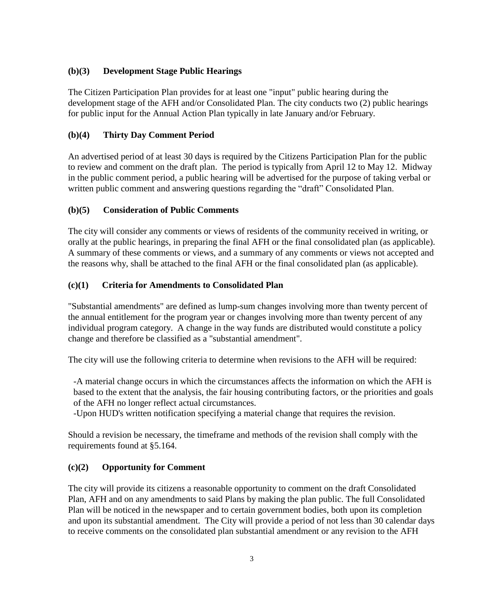## **(b)(3) Development Stage Public Hearings**

The Citizen Participation Plan provides for at least one "input" public hearing during the development stage of the AFH and/or Consolidated Plan. The city conducts two (2) public hearings for public input for the Annual Action Plan typically in late January and/or February.

## **(b)(4) Thirty Day Comment Period**

An advertised period of at least 30 days is required by the Citizens Participation Plan for the public to review and comment on the draft plan. The period is typically from April 12 to May 12. Midway in the public comment period, a public hearing will be advertised for the purpose of taking verbal or written public comment and answering questions regarding the "draft" Consolidated Plan.

## **(b)(5) Consideration of Public Comments**

The city will consider any comments or views of residents of the community received in writing, or orally at the public hearings, in preparing the final AFH or the final consolidated plan (as applicable). A summary of these comments or views, and a summary of any comments or views not accepted and the reasons why, shall be attached to the final AFH or the final consolidated plan (as applicable).

## **(c)(1) Criteria for Amendments to Consolidated Plan**

"Substantial amendments" are defined as lump-sum changes involving more than twenty percent of the annual entitlement for the program year or changes involving more than twenty percent of any individual program category. A change in the way funds are distributed would constitute a policy change and therefore be classified as a "substantial amendment".

The city will use the following criteria to determine when revisions to the AFH will be required:

-A material change occurs in which the circumstances affects the information on which the AFH is based to the extent that the analysis, the fair housing contributing factors, or the priorities and goals of the AFH no longer reflect actual circumstances.

-Upon HUD's written notification specifying a material change that requires the revision.

Should a revision be necessary, the timeframe and methods of the revision shall comply with the requirements found at §5.164.

## **(c)(2) Opportunity for Comment**

The city will provide its citizens a reasonable opportunity to comment on the draft Consolidated Plan, AFH and on any amendments to said Plans by making the plan public. The full Consolidated Plan will be noticed in the newspaper and to certain government bodies, both upon its completion and upon its substantial amendment. The City will provide a period of not less than 30 calendar days to receive comments on the consolidated plan substantial amendment or any revision to the AFH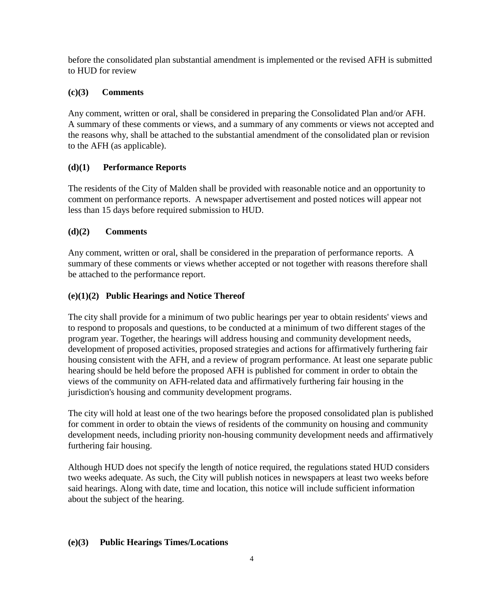before the consolidated plan substantial amendment is implemented or the revised AFH is submitted to HUD for review

## **(c)(3) Comments**

Any comment, written or oral, shall be considered in preparing the Consolidated Plan and/or AFH. A summary of these comments or views, and a summary of any comments or views not accepted and the reasons why, shall be attached to the substantial amendment of the consolidated plan or revision to the AFH (as applicable).

## **(d)(1) Performance Reports**

The residents of the City of Malden shall be provided with reasonable notice and an opportunity to comment on performance reports. A newspaper advertisement and posted notices will appear not less than 15 days before required submission to HUD.

## **(d)(2) Comments**

Any comment, written or oral, shall be considered in the preparation of performance reports. A summary of these comments or views whether accepted or not together with reasons therefore shall be attached to the performance report.

## **(e)(1)(2) Public Hearings and Notice Thereof**

The city shall provide for a minimum of two public hearings per year to obtain residents' views and to respond to proposals and questions, to be conducted at a minimum of two different stages of the program year. Together, the hearings will address housing and community development needs, development of proposed activities, proposed strategies and actions for affirmatively furthering fair housing consistent with the AFH, and a review of program performance. At least one separate public hearing should be held before the proposed AFH is published for comment in order to obtain the views of the community on AFH-related data and affirmatively furthering fair housing in the jurisdiction's housing and community development programs.

The city will hold at least one of the two hearings before the proposed consolidated plan is published for comment in order to obtain the views of residents of the community on housing and community development needs, including priority non-housing community development needs and affirmatively furthering fair housing.

Although HUD does not specify the length of notice required, the regulations stated HUD considers two weeks adequate. As such, the City will publish notices in newspapers at least two weeks before said hearings. Along with date, time and location, this notice will include sufficient information about the subject of the hearing.

## **(e)(3) Public Hearings Times/Locations**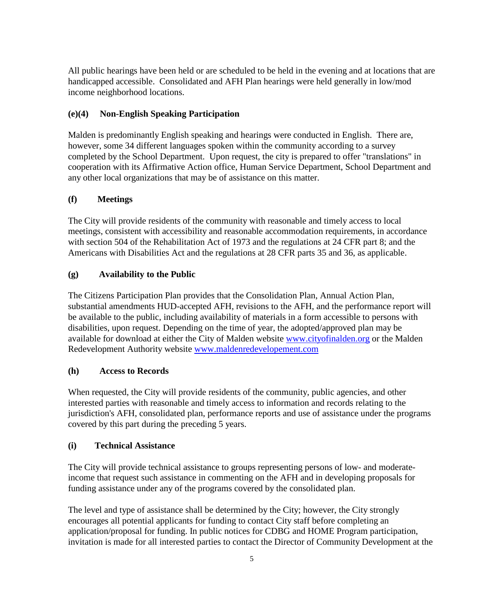All public hearings have been held or are scheduled to be held in the evening and at locations that are handicapped accessible. Consolidated and AFH Plan hearings were held generally in low/mod income neighborhood locations.

## **(e)(4) Non-English Speaking Participation**

Malden is predominantly English speaking and hearings were conducted in English. There are, however, some 34 different languages spoken within the community according to a survey completed by the School Department. Upon request, the city is prepared to offer "translations" in cooperation with its Affirmative Action office, Human Service Department, School Department and any other local organizations that may be of assistance on this matter.

## **(f) Meetings**

The City will provide residents of the community with reasonable and timely access to local meetings, consistent with accessibility and reasonable accommodation requirements, in accordance with section 504 of the Rehabilitation Act of 1973 and the regulations at 24 CFR part 8; and the Americans with Disabilities Act and the regulations at 28 CFR parts 35 and 36, as applicable.

## **(g) Availability to the Public**

The Citizens Participation Plan provides that the Consolidation Plan, Annual Action Plan, substantial amendments HUD-accepted AFH, revisions to the AFH, and the performance report will be available to the public, including availability of materials in a form accessible to persons with disabilities, upon request. Depending on the time of year, the adopted/approved plan may be available for download at either the City of Malden website [www.cityofinalden.org](http://www.cityofinalden.org/) or the Malden Redevelopment Authority website [www.maldenredevelopement.com](http://www.maldenredevelopement.com/)

## **(h) Access to Records**

When requested, the City will provide residents of the community, public agencies, and other interested parties with reasonable and timely access to information and records relating to the jurisdiction's AFH, consolidated plan, performance reports and use of assistance under the programs covered by this part during the preceding 5 years.

## **(i) Technical Assistance**

The City will provide technical assistance to groups representing persons of low- and moderateincome that request such assistance in commenting on the AFH and in developing proposals for funding assistance under any of the programs covered by the consolidated plan.

The level and type of assistance shall be determined by the City; however, the City strongly encourages all potential applicants for funding to contact City staff before completing an application/proposal for funding. In public notices for CDBG and HOME Program participation, invitation is made for all interested parties to contact the Director of Community Development at the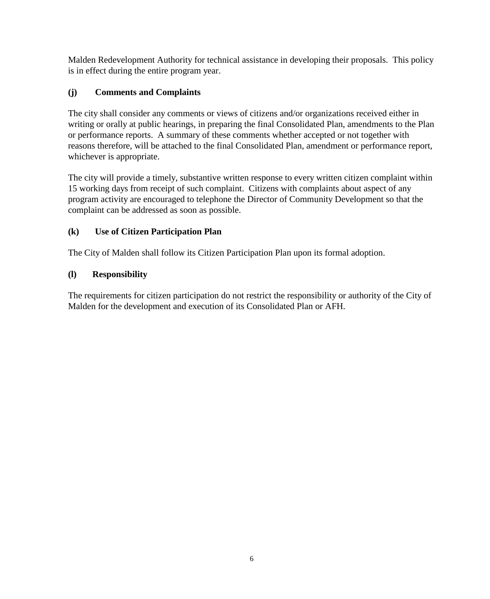Malden Redevelopment Authority for technical assistance in developing their proposals. This policy is in effect during the entire program year.

# **(j) Comments and Complaints**

The city shall consider any comments or views of citizens and/or organizations received either in writing or orally at public hearings, in preparing the final Consolidated Plan, amendments to the Plan or performance reports. A summary of these comments whether accepted or not together with reasons therefore, will be attached to the final Consolidated Plan, amendment or performance report, whichever is appropriate.

The city will provide a timely, substantive written response to every written citizen complaint within 15 working days from receipt of such complaint. Citizens with complaints about aspect of any program activity are encouraged to telephone the Director of Community Development so that the complaint can be addressed as soon as possible.

## **(k) Use of Citizen Participation Plan**

The City of Malden shall follow its Citizen Participation Plan upon its formal adoption.

# **(l) Responsibility**

The requirements for citizen participation do not restrict the responsibility or authority of the City of Malden for the development and execution of its Consolidated Plan or AFH.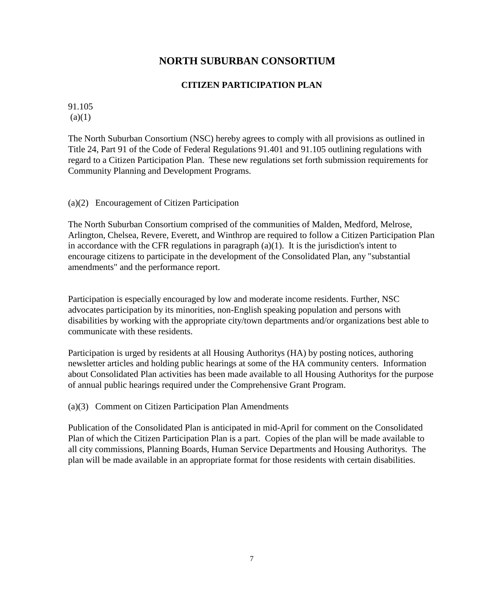# **NORTH SUBURBAN CONSORTIUM**

## **CITIZEN PARTICIPATION PLAN**

91.105  $(a)(1)$ 

The North Suburban Consortium (NSC) hereby agrees to comply with all provisions as outlined in Title 24, Part 91 of the Code of Federal Regulations 91.401 and 91.105 outlining regulations with regard to a Citizen Participation Plan. These new regulations set forth submission requirements for Community Planning and Development Programs.

## (a)(2) Encouragement of Citizen Participation

The North Suburban Consortium comprised of the communities of Malden, Medford, Melrose, Arlington, Chelsea, Revere, Everett, and Winthrop are required to follow a Citizen Participation Plan in accordance with the CFR regulations in paragraph (a)(1). It is the jurisdiction's intent to encourage citizens to participate in the development of the Consolidated Plan, any "substantial amendments" and the performance report.

Participation is especially encouraged by low and moderate income residents. Further, NSC advocates participation by its minorities, non-English speaking population and persons with disabilities by working with the appropriate city/town departments and/or organizations best able to communicate with these residents.

Participation is urged by residents at all Housing Authoritys (HA) by posting notices, authoring newsletter articles and holding public hearings at some of the HA community centers. Information about Consolidated Plan activities has been made available to all Housing Authoritys for the purpose of annual public hearings required under the Comprehensive Grant Program.

(a)(3) Comment on Citizen Participation Plan Amendments

Publication of the Consolidated Plan is anticipated in mid-April for comment on the Consolidated Plan of which the Citizen Participation Plan is a part. Copies of the plan will be made available to all city commissions, Planning Boards, Human Service Departments and Housing Authoritys. The plan will be made available in an appropriate format for those residents with certain disabilities.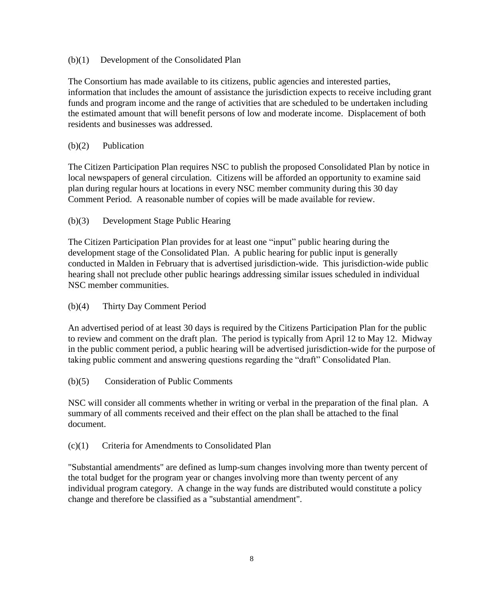#### (b)(1) Development of the Consolidated Plan

The Consortium has made available to its citizens, public agencies and interested parties, information that includes the amount of assistance the jurisdiction expects to receive including grant funds and program income and the range of activities that are scheduled to be undertaken including the estimated amount that will benefit persons of low and moderate income. Displacement of both residents and businesses was addressed.

#### (b)(2) Publication

The Citizen Participation Plan requires NSC to publish the proposed Consolidated Plan by notice in local newspapers of general circulation. Citizens will be afforded an opportunity to examine said plan during regular hours at locations in every NSC member community during this 30 day Comment Period. A reasonable number of copies will be made available for review.

## (b)(3) Development Stage Public Hearing

The Citizen Participation Plan provides for at least one "input" public hearing during the development stage of the Consolidated Plan. A public hearing for public input is generally conducted in Malden in February that is advertised jurisdiction-wide. This jurisdiction-wide public hearing shall not preclude other public hearings addressing similar issues scheduled in individual NSC member communities.

## (b)(4) Thirty Day Comment Period

An advertised period of at least 30 days is required by the Citizens Participation Plan for the public to review and comment on the draft plan. The period is typically from April 12 to May 12. Midway in the public comment period, a public hearing will be advertised jurisdiction-wide for the purpose of taking public comment and answering questions regarding the "draft" Consolidated Plan.

#### (b)(5) Consideration of Public Comments

NSC will consider all comments whether in writing or verbal in the preparation of the final plan. A summary of all comments received and their effect on the plan shall be attached to the final document.

#### (c)(1) Criteria for Amendments to Consolidated Plan

"Substantial amendments" are defined as lump-sum changes involving more than twenty percent of the total budget for the program year or changes involving more than twenty percent of any individual program category. A change in the way funds are distributed would constitute a policy change and therefore be classified as a "substantial amendment".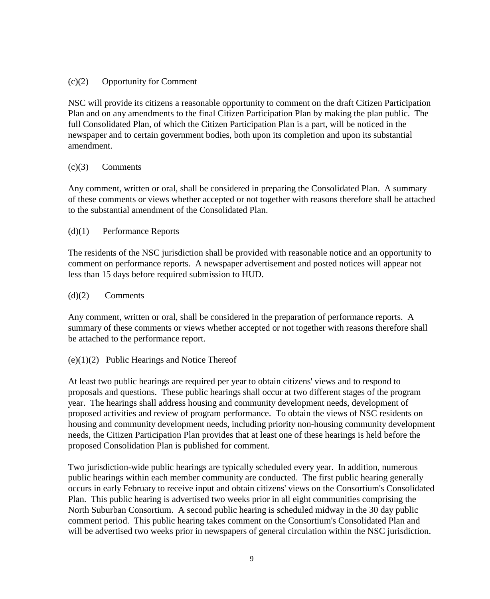#### (c)(2) Opportunity for Comment

NSC will provide its citizens a reasonable opportunity to comment on the draft Citizen Participation Plan and on any amendments to the final Citizen Participation Plan by making the plan public. The full Consolidated Plan, of which the Citizen Participation Plan is a part, will be noticed in the newspaper and to certain government bodies, both upon its completion and upon its substantial amendment.

#### (c)(3) Comments

Any comment, written or oral, shall be considered in preparing the Consolidated Plan. A summary of these comments or views whether accepted or not together with reasons therefore shall be attached to the substantial amendment of the Consolidated Plan.

#### (d)(1) Performance Reports

The residents of the NSC jurisdiction shall be provided with reasonable notice and an opportunity to comment on performance reports. A newspaper advertisement and posted notices will appear not less than 15 days before required submission to HUD.

#### (d)(2) Comments

Any comment, written or oral, shall be considered in the preparation of performance reports. A summary of these comments or views whether accepted or not together with reasons therefore shall be attached to the performance report.

## (e)(1)(2) Public Hearings and Notice Thereof

At least two public hearings are required per year to obtain citizens' views and to respond to proposals and questions. These public hearings shall occur at two different stages of the program year. The hearings shall address housing and community development needs, development of proposed activities and review of program performance. To obtain the views of NSC residents on housing and community development needs, including priority non-housing community development needs, the Citizen Participation Plan provides that at least one of these hearings is held before the proposed Consolidation Plan is published for comment.

Two jurisdiction-wide public hearings are typically scheduled every year. In addition, numerous public hearings within each member community are conducted. The first public hearing generally occurs in early February to receive input and obtain citizens' views on the Consortium's Consolidated Plan. This public hearing is advertised two weeks prior in all eight communities comprising the North Suburban Consortium. A second public hearing is scheduled midway in the 30 day public comment period. This public hearing takes comment on the Consortium's Consolidated Plan and will be advertised two weeks prior in newspapers of general circulation within the NSC jurisdiction.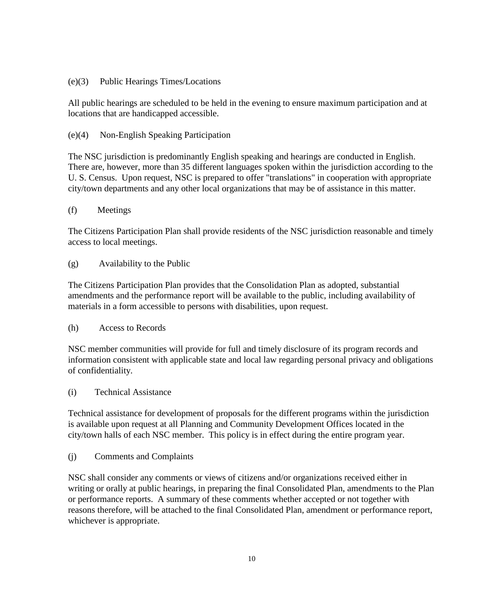#### (e)(3) Public Hearings Times/Locations

All public hearings are scheduled to be held in the evening to ensure maximum participation and at locations that are handicapped accessible.

#### (e)(4) Non-English Speaking Participation

The NSC jurisdiction is predominantly English speaking and hearings are conducted in English. There are, however, more than 35 different languages spoken within the jurisdiction according to the U. S. Census. Upon request, NSC is prepared to offer "translations" in cooperation with appropriate city/town departments and any other local organizations that may be of assistance in this matter.

#### (f) Meetings

The Citizens Participation Plan shall provide residents of the NSC jurisdiction reasonable and timely access to local meetings.

#### (g) Availability to the Public

The Citizens Participation Plan provides that the Consolidation Plan as adopted, substantial amendments and the performance report will be available to the public, including availability of materials in a form accessible to persons with disabilities, upon request.

(h) Access to Records

NSC member communities will provide for full and timely disclosure of its program records and information consistent with applicable state and local law regarding personal privacy and obligations of confidentiality.

(i) Technical Assistance

Technical assistance for development of proposals for the different programs within the jurisdiction is available upon request at all Planning and Community Development Offices located in the city/town halls of each NSC member. This policy is in effect during the entire program year.

(j) Comments and Complaints

NSC shall consider any comments or views of citizens and/or organizations received either in writing or orally at public hearings, in preparing the final Consolidated Plan, amendments to the Plan or performance reports. A summary of these comments whether accepted or not together with reasons therefore, will be attached to the final Consolidated Plan, amendment or performance report, whichever is appropriate.